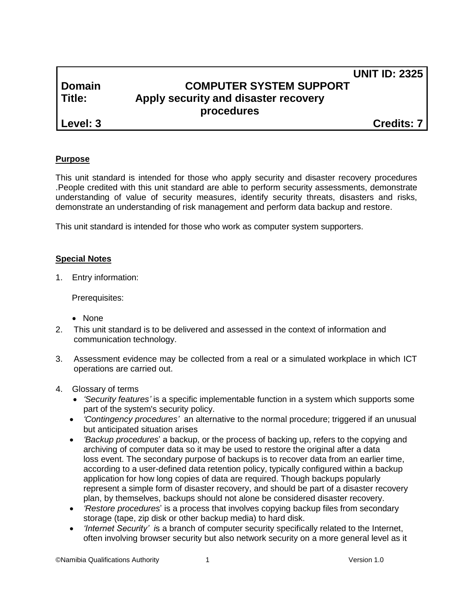# **UNIT ID: 2325 Domain COMPUTER SYSTEM SUPPORT Title: Apply security and disaster recovery procedures**

**Level: 3 Credits: 7**

## **Purpose**

This unit standard is intended for those who apply security and disaster recovery procedures .People credited with this unit standard are able to perform security assessments, demonstrate understanding of value of security measures, identify security threats, disasters and risks, demonstrate an understanding of risk management and perform data backup and restore.

This unit standard is intended for those who work as computer system supporters.

## **Special Notes**

1. Entry information:

Prerequisites:

- None
- 2. This unit standard is to be delivered and assessed in the context of information and communication technology.
- 3. Assessment evidence may be collected from a real or a simulated workplace in which ICT operations are carried out.
- 4. Glossary of terms
	- *'Security features'* is a specific implementable function in a system which supports some part of the system's security policy.
	- *'Contingency procedures'* an alternative to the normal procedure; triggered if an unusual but anticipated situation arises
	- *'Backup procedures*' a backup, or the process of backing up, refers to the copying and archiving of computer [data](http://en.wikipedia.org/wiki/Data) so it may be used to restore the original after a [data](http://en.wikipedia.org/wiki/Data_loss)  [loss](http://en.wikipedia.org/wiki/Data_loss) event. The secondary purpose of backups is to recover data from an earlier time, according to a user-defined [data retention](http://en.wikipedia.org/wiki/Data_retention) policy, typically configured within a backup application for how long copies of data are required. Though backups popularly represent a simple form of [disaster recovery,](http://en.wikipedia.org/wiki/Disaster_recovery) and should be part of a [disaster recovery](http://en.wikipedia.org/wiki/Disaster_recovery_plan)  [plan,](http://en.wikipedia.org/wiki/Disaster_recovery_plan) by themselves, backups should not alone be considered disaster recovery.
	- *'Restore procedures*' is a process that involves copying backup files from secondary storage [\(tape,](http://searchstorage.techtarget.com/definition/tape) [zip disk](http://searchmobilecomputing.techtarget.com/definition/Zip-drive) or other backup media) to [hard disk.](http://searchstorage.techtarget.com/definition/hard-disk)
	- *'Internet Security' i*s a branch of [computer security](http://en.wikipedia.org/wiki/Computer_security) specifically related to the [Internet,](http://en.wikipedia.org/wiki/Internet) often involving [browser security](http://en.wikipedia.org/wiki/Browser_security) but also [network security](http://en.wikipedia.org/wiki/Network_security) on a more general level as it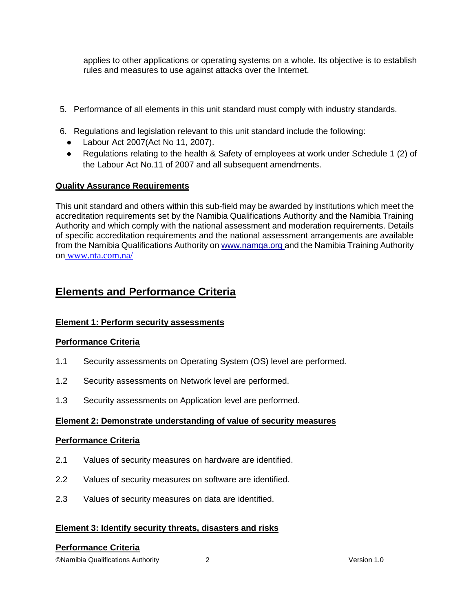applies to other applications or [operating systems](http://en.wikipedia.org/wiki/Operating_systems) on a whole. Its objective is to establish rules and measures to use against attacks over the Internet.

- 5. Performance of all elements in this unit standard must comply with industry standards.
- 6. Regulations and legislation relevant to this unit standard include the following:
	- Labour Act 2007(Act No 11, 2007).
	- Regulations relating to the health & Safety of employees at work under Schedule 1 (2) of the Labour Act No.11 of 2007 and all subsequent amendments.

#### **Quality Assurance Requirements**

This unit standard and others within this sub-field may be awarded by institutions which meet the accreditation requirements set by the Namibia Qualifications Authority and the Namibia Training Authority and which comply with the national assessment and moderation requirements. Details of specific accreditation requirements and the national assessment arrangements are available from the Namibia Qualifications Authority o[n www.namqa.org a](http://www.namqa.org/)nd the Namibia Training Authority on [www.nta.com.na/](http://www.nta.com.na/)

# **Elements and Performance Criteria**

## **Element 1: Perform security assessments**

#### **Performance Criteria**

- 1.1 Security assessments on Operating System (OS) level are performed.
- 1.2 Security assessments on Network level are performed.
- 1.3 Security assessments on Application level are performed.

#### **Element 2: Demonstrate understanding of value of security measures**

#### **Performance Criteria**

- 2.1 Values of security measures on hardware are identified.
- 2.2 Values of security measures on software are identified.
- 2.3 Values of security measures on data are identified.

#### **Element 3: Identify security threats, disasters and risks**

#### **Performance Criteria**

©Namibia Qualifications Authority 2 Version 1.0